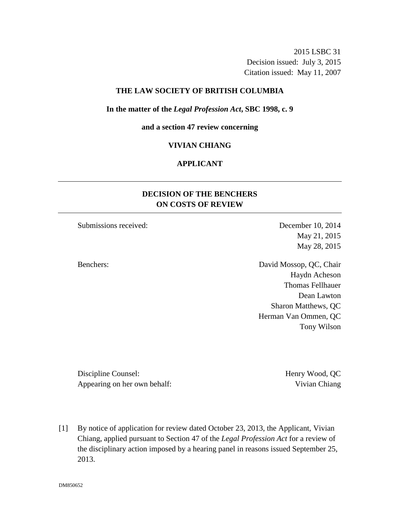2015 LSBC 31 Decision issued: July 3, 2015 Citation issued: May 11, 2007

## **THE LAW SOCIETY OF BRITISH COLUMBIA**

#### **In the matter of the** *Legal Profession Act***, SBC 1998, c. 9**

#### **and a section 47 review concerning**

## **VIVIAN CHIANG**

# **APPLICANT**

# **DECISION OF THE BENCHERS ON COSTS OF REVIEW**

Submissions received: December 10, 2014

May 21, 2015 May 28, 2015

Benchers: David Mossop, QC, Chair Haydn Acheson Thomas Fellhauer Dean Lawton Sharon Matthews, QC Herman Van Ommen, QC Tony Wilson

Discipline Counsel: Henry Wood, QC Appearing on her own behalf: Vivian Chiang

[1] By notice of application for review dated October 23, 2013, the Applicant, Vivian Chiang, applied pursuant to Section 47 of the *Legal Profession Act* for a review of the disciplinary action imposed by a hearing panel in reasons issued September 25, 2013.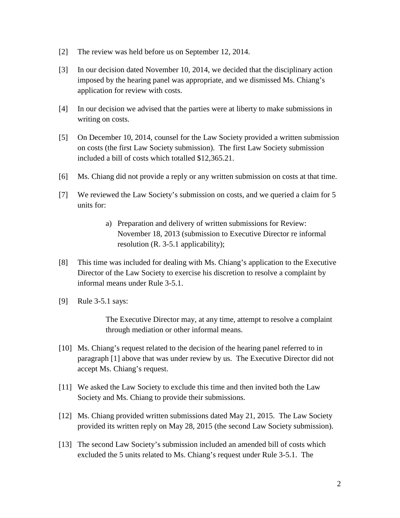- [2] The review was held before us on September 12, 2014.
- [3] In our decision dated November 10, 2014, we decided that the disciplinary action imposed by the hearing panel was appropriate, and we dismissed Ms. Chiang's application for review with costs.
- [4] In our decision we advised that the parties were at liberty to make submissions in writing on costs.
- [5] On December 10, 2014, counsel for the Law Society provided a written submission on costs (the first Law Society submission). The first Law Society submission included a bill of costs which totalled \$12,365.21.
- [6] Ms. Chiang did not provide a reply or any written submission on costs at that time.
- [7] We reviewed the Law Society's submission on costs, and we queried a claim for 5 units for:
	- a) Preparation and delivery of written submissions for Review: November 18, 2013 (submission to Executive Director re informal resolution (R. 3-5.1 applicability);
- [8] This time was included for dealing with Ms. Chiang's application to the Executive Director of the Law Society to exercise his discretion to resolve a complaint by informal means under Rule 3-5.1.
- [9] Rule 3-5.1 says:

The Executive Director may, at any time, attempt to resolve a complaint through mediation or other informal means.

- [10] Ms. Chiang's request related to the decision of the hearing panel referred to in paragraph [1] above that was under review by us. The Executive Director did not accept Ms. Chiang's request.
- [11] We asked the Law Society to exclude this time and then invited both the Law Society and Ms. Chiang to provide their submissions.
- [12] Ms. Chiang provided written submissions dated May 21, 2015. The Law Society provided its written reply on May 28, 2015 (the second Law Society submission).
- [13] The second Law Society's submission included an amended bill of costs which excluded the 5 units related to Ms. Chiang's request under Rule 3-5.1. The